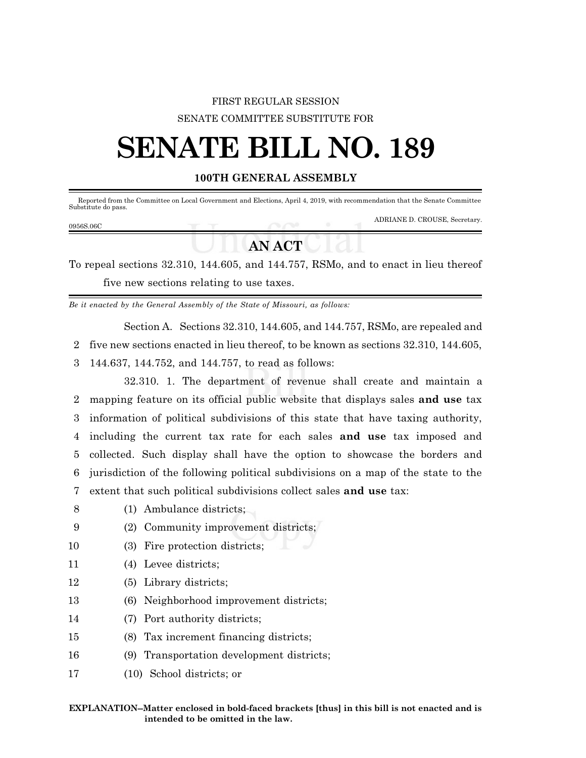## FIRST REGULAR SESSION SENATE COMMITTEE SUBSTITUTE FOR

# **SENATE BILL NO. 189**

### **100TH GENERAL ASSEMBLY**

Reported from the Committee on Local Government and Elections, April 4, 2019, with recommendation that the Senate Committee Substitute do pass.

ADRIANE D. CROUSE, Secretary.

# **AN ACT**

To repeal sections 32.310, 144.605, and 144.757, RSMo, and to enact in lieu thereof five new sections relating to use taxes.

*Be it enacted by the General Assembly of the State of Missouri, as follows:*

Section A. Sections 32.310, 144.605, and 144.757, RSMo, are repealed and

2 five new sections enacted in lieu thereof, to be known as sections 32.310, 144.605,

3 144.637, 144.752, and 144.757, to read as follows:

32.310. 1. The department of revenue shall create and maintain a mapping feature on its official public website that displays sales **and use** tax information of political subdivisions of this state that have taxing authority, including the current tax rate for each sales **and use** tax imposed and collected. Such display shall have the option to showcase the borders and jurisdiction of the following political subdivisions on a map of the state to the extent that such political subdivisions collect sales **and use** tax:

- 8 (1) Ambulance districts;
- 9 (2) Community improvement districts;
- 10 (3) Fire protection districts;
- 11 (4) Levee districts;
- 12 (5) Library districts;
- 13 (6) Neighborhood improvement districts;
- 14 (7) Port authority districts;
- 15 (8) Tax increment financing districts;
- 16 (9) Transportation development districts;
- 17 (10) School districts; or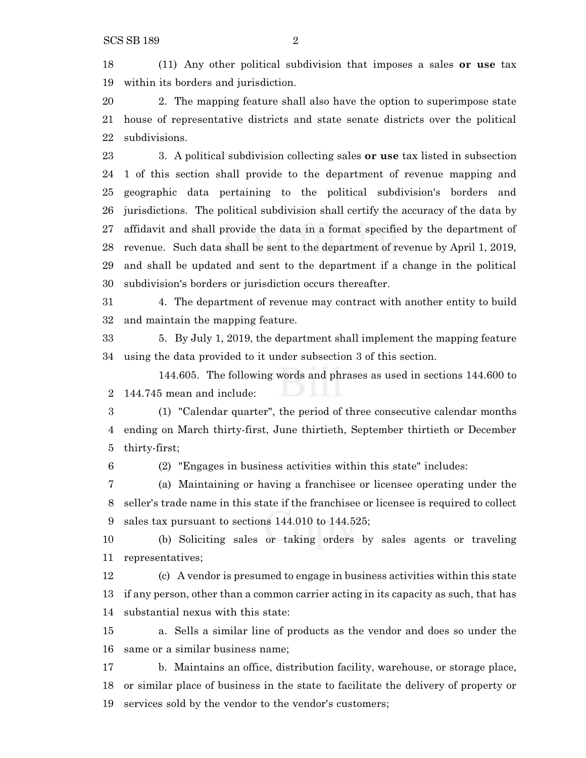(11) Any other political subdivision that imposes a sales **or use** tax within its borders and jurisdiction.

 2. The mapping feature shall also have the option to superimpose state house of representative districts and state senate districts over the political subdivisions.

 3. A political subdivision collecting sales **or use** tax listed in subsection 1 of this section shall provide to the department of revenue mapping and geographic data pertaining to the political subdivision's borders and jurisdictions. The political subdivision shall certify the accuracy of the data by affidavit and shall provide the data in a format specified by the department of revenue. Such data shall be sent to the department of revenue by April 1, 2019, and shall be updated and sent to the department if a change in the political subdivision's borders or jurisdiction occurs thereafter.

 4. The department of revenue may contract with another entity to build and maintain the mapping feature.

 5. By July 1, 2019, the department shall implement the mapping feature using the data provided to it under subsection 3 of this section.

144.605. The following words and phrases as used in sections 144.600 to 144.745 mean and include:

 (1) "Calendar quarter", the period of three consecutive calendar months ending on March thirty-first, June thirtieth, September thirtieth or December thirty-first;

(2) "Engages in business activities within this state" includes:

 (a) Maintaining or having a franchisee or licensee operating under the seller's trade name in this state if the franchisee or licensee is required to collect sales tax pursuant to sections 144.010 to 144.525;

 (b) Soliciting sales or taking orders by sales agents or traveling representatives;

 (c) A vendor is presumed to engage in business activities within this state if any person, other than a common carrier acting in its capacity as such, that has substantial nexus with this state:

 a. Sells a similar line of products as the vendor and does so under the same or a similar business name;

 b. Maintains an office, distribution facility, warehouse, or storage place, or similar place of business in the state to facilitate the delivery of property or services sold by the vendor to the vendor's customers;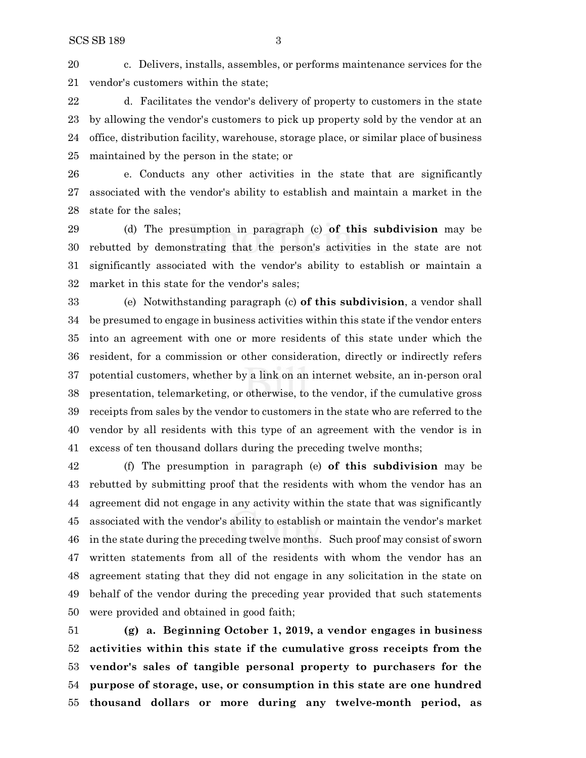c. Delivers, installs, assembles, or performs maintenance services for the vendor's customers within the state;

 d. Facilitates the vendor's delivery of property to customers in the state by allowing the vendor's customers to pick up property sold by the vendor at an office, distribution facility, warehouse, storage place, or similar place of business maintained by the person in the state; or

 e. Conducts any other activities in the state that are significantly associated with the vendor's ability to establish and maintain a market in the state for the sales;

 (d) The presumption in paragraph (c) **of this subdivision** may be rebutted by demonstrating that the person's activities in the state are not significantly associated with the vendor's ability to establish or maintain a market in this state for the vendor's sales;

 (e) Notwithstanding paragraph (c) **of this subdivision**, a vendor shall be presumed to engage in business activities within this state if the vendor enters into an agreement with one or more residents of this state under which the resident, for a commission or other consideration, directly or indirectly refers potential customers, whether by a link on an internet website, an in-person oral presentation, telemarketing, or otherwise, to the vendor, if the cumulative gross receipts from sales by the vendor to customers in the state who are referred to the vendor by all residents with this type of an agreement with the vendor is in excess of ten thousand dollars during the preceding twelve months;

 (f) The presumption in paragraph (e) **of this subdivision** may be rebutted by submitting proof that the residents with whom the vendor has an agreement did not engage in any activity within the state that was significantly associated with the vendor's ability to establish or maintain the vendor's market in the state during the preceding twelve months. Such proof may consist of sworn written statements from all of the residents with whom the vendor has an agreement stating that they did not engage in any solicitation in the state on behalf of the vendor during the preceding year provided that such statements were provided and obtained in good faith;

 **(g) a. Beginning October 1, 2019, a vendor engages in business activities within this state if the cumulative gross receipts from the vendor's sales of tangible personal property to purchasers for the purpose of storage, use, or consumption in this state are one hundred thousand dollars or more during any twelve-month period, as**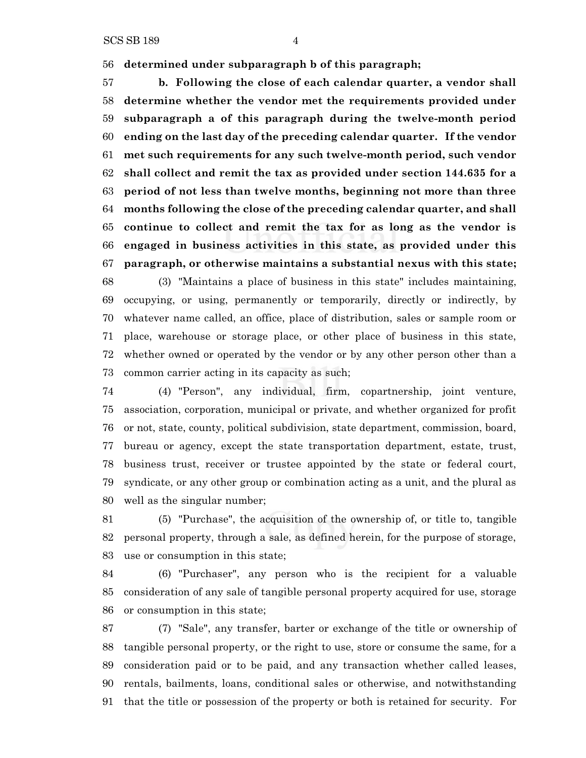SCS SB 189 4

**determined under subparagraph b of this paragraph;**

 **b. Following the close of each calendar quarter, a vendor shall determine whether the vendor met the requirements provided under subparagraph a of this paragraph during the twelve-month period ending on the last day of the preceding calendar quarter. If the vendor met such requirements for any such twelve-month period, such vendor shall collect and remit the tax as provided under section 144.635 for a period of not less than twelve months, beginning not more than three months following the close of the preceding calendar quarter, and shall continue to collect and remit the tax for as long as the vendor is engaged in business activities in this state, as provided under this paragraph, or otherwise maintains a substantial nexus with this state;**

 (3) "Maintains a place of business in this state" includes maintaining, occupying, or using, permanently or temporarily, directly or indirectly, by whatever name called, an office, place of distribution, sales or sample room or place, warehouse or storage place, or other place of business in this state, whether owned or operated by the vendor or by any other person other than a common carrier acting in its capacity as such;

 (4) "Person", any individual, firm, copartnership, joint venture, association, corporation, municipal or private, and whether organized for profit or not, state, county, political subdivision, state department, commission, board, bureau or agency, except the state transportation department, estate, trust, business trust, receiver or trustee appointed by the state or federal court, syndicate, or any other group or combination acting as a unit, and the plural as well as the singular number;

 (5) "Purchase", the acquisition of the ownership of, or title to, tangible personal property, through a sale, as defined herein, for the purpose of storage, use or consumption in this state;

 (6) "Purchaser", any person who is the recipient for a valuable consideration of any sale of tangible personal property acquired for use, storage or consumption in this state;

 (7) "Sale", any transfer, barter or exchange of the title or ownership of tangible personal property, or the right to use, store or consume the same, for a consideration paid or to be paid, and any transaction whether called leases, rentals, bailments, loans, conditional sales or otherwise, and notwithstanding that the title or possession of the property or both is retained for security. For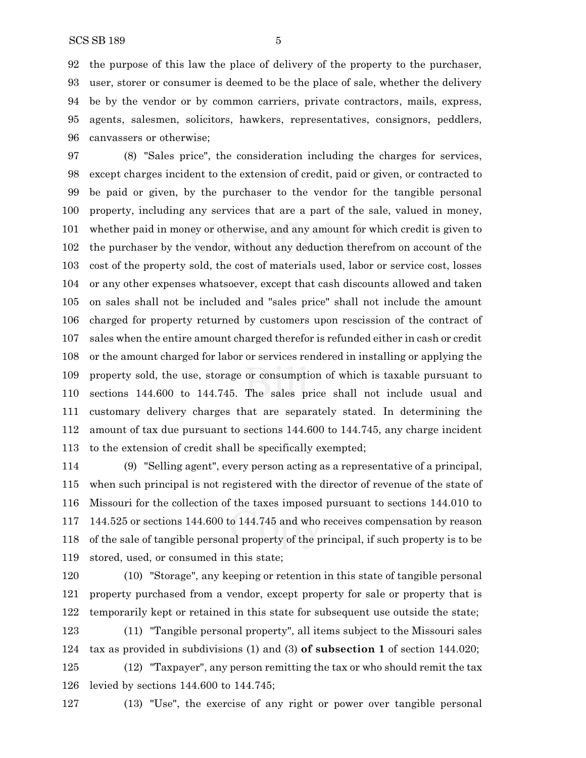the purpose of this law the place of delivery of the property to the purchaser, user, storer or consumer is deemed to be the place of sale, whether the delivery be by the vendor or by common carriers, private contractors, mails, express, agents, salesmen, solicitors, hawkers, representatives, consignors, peddlers, canvassers or otherwise;

 (8) "Sales price", the consideration including the charges for services, except charges incident to the extension of credit, paid or given, or contracted to be paid or given, by the purchaser to the vendor for the tangible personal property, including any services that are a part of the sale, valued in money, whether paid in money or otherwise, and any amount for which credit is given to the purchaser by the vendor, without any deduction therefrom on account of the cost of the property sold, the cost of materials used, labor or service cost, losses or any other expenses whatsoever, except that cash discounts allowed and taken on sales shall not be included and "sales price" shall not include the amount charged for property returned by customers upon rescission of the contract of sales when the entire amount charged therefor is refunded either in cash or credit or the amount charged for labor or services rendered in installing or applying the property sold, the use, storage or consumption of which is taxable pursuant to sections 144.600 to 144.745. The sales price shall not include usual and customary delivery charges that are separately stated. In determining the amount of tax due pursuant to sections 144.600 to 144.745, any charge incident to the extension of credit shall be specifically exempted;

 (9) "Selling agent", every person acting as a representative of a principal, when such principal is not registered with the director of revenue of the state of Missouri for the collection of the taxes imposed pursuant to sections 144.010 to 144.525 or sections 144.600 to 144.745 and who receives compensation by reason of the sale of tangible personal property of the principal, if such property is to be stored, used, or consumed in this state;

 (10) "Storage", any keeping or retention in this state of tangible personal property purchased from a vendor, except property for sale or property that is temporarily kept or retained in this state for subsequent use outside the state; (11) "Tangible personal property", all items subject to the Missouri sales tax as provided in subdivisions (1) and (3) **of subsection 1** of section 144.020; (12) "Taxpayer", any person remitting the tax or who should remit the tax levied by sections 144.600 to 144.745;

(13) "Use", the exercise of any right or power over tangible personal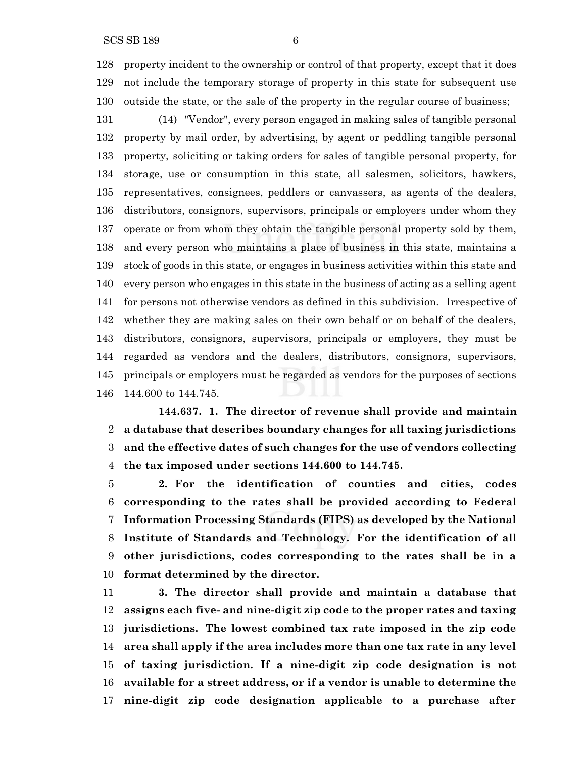property incident to the ownership or control of that property, except that it does not include the temporary storage of property in this state for subsequent use outside the state, or the sale of the property in the regular course of business;

 (14) "Vendor", every person engaged in making sales of tangible personal property by mail order, by advertising, by agent or peddling tangible personal property, soliciting or taking orders for sales of tangible personal property, for storage, use or consumption in this state, all salesmen, solicitors, hawkers, representatives, consignees, peddlers or canvassers, as agents of the dealers, distributors, consignors, supervisors, principals or employers under whom they operate or from whom they obtain the tangible personal property sold by them, and every person who maintains a place of business in this state, maintains a stock of goods in this state, or engages in business activities within this state and every person who engages in this state in the business of acting as a selling agent for persons not otherwise vendors as defined in this subdivision. Irrespective of whether they are making sales on their own behalf or on behalf of the dealers, distributors, consignors, supervisors, principals or employers, they must be regarded as vendors and the dealers, distributors, consignors, supervisors, principals or employers must be regarded as vendors for the purposes of sections 144.600 to 144.745.

**144.637. 1. The director of revenue shall provide and maintain a database that describes boundary changes for all taxing jurisdictions and the effective dates of such changes for the use of vendors collecting the tax imposed under sections 144.600 to 144.745.**

 **2. For the identification of counties and cities, codes corresponding to the rates shall be provided according to Federal Information Processing Standards (FIPS) as developed by the National Institute of Standards and Technology. For the identification of all other jurisdictions, codes corresponding to the rates shall be in a format determined by the director.**

 **3. The director shall provide and maintain a database that assigns each five- and nine-digit zip code to the proper rates and taxing jurisdictions. The lowest combined tax rate imposed in the zip code area shall apply if the area includes more than one tax rate in any level of taxing jurisdiction. If a nine-digit zip code designation is not available for a street address, or if a vendor is unable to determine the nine-digit zip code designation applicable to a purchase after**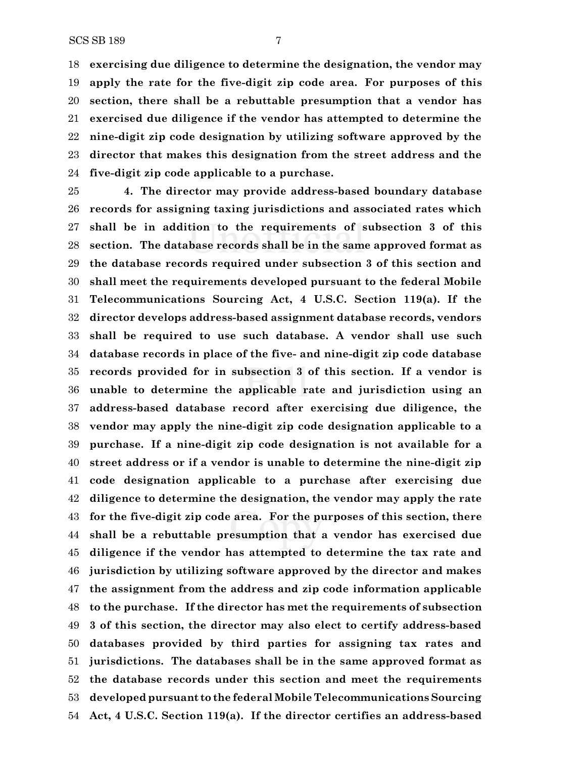**exercising due diligence to determine the designation, the vendor may apply the rate for the five-digit zip code area. For purposes of this section, there shall be a rebuttable presumption that a vendor has exercised due diligence if the vendor has attempted to determine the nine-digit zip code designation by utilizing software approved by the director that makes this designation from the street address and the five-digit zip code applicable to a purchase.**

 **4. The director may provide address-based boundary database records for assigning taxing jurisdictions and associated rates which shall be in addition to the requirements of subsection 3 of this section. The database records shall be in the same approved format as the database records required under subsection 3 of this section and shall meet the requirements developed pursuant to the federal Mobile Telecommunications Sourcing Act, 4 U.S.C. Section 119(a). If the director develops address-based assignment database records, vendors shall be required to use such database. A vendor shall use such database records in place of the five- and nine-digit zip code database records provided for in subsection 3 of this section. If a vendor is unable to determine the applicable rate and jurisdiction using an address-based database record after exercising due diligence, the vendor may apply the nine-digit zip code designation applicable to a purchase. If a nine-digit zip code designation is not available for a street address or if a vendor is unable to determine the nine-digit zip code designation applicable to a purchase after exercising due diligence to determine the designation, the vendor may apply the rate for the five-digit zip code area. For the purposes of this section, there shall be a rebuttable presumption that a vendor has exercised due diligence if the vendor has attempted to determine the tax rate and jurisdiction by utilizing software approved by the director and makes the assignment from the address and zip code information applicable to the purchase. If the director has met the requirements of subsection 3 of this section, the director may also elect to certify address-based databases provided by third parties for assigning tax rates and jurisdictions. The databases shall be in the same approved format as the database records under this section and meet the requirements developed pursuant to the federal Mobile Telecommunications Sourcing Act, 4 U.S.C. Section 119(a). If the director certifies an address-based**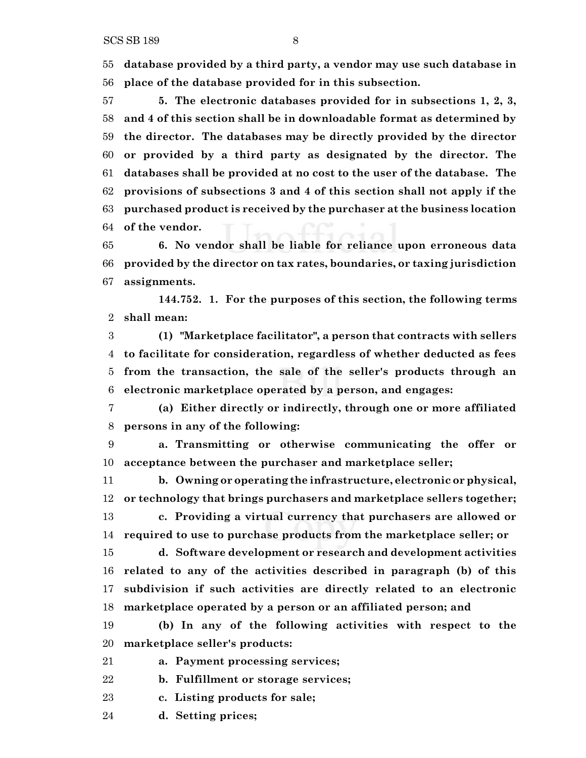**database provided by a third party, a vendor may use such database in place of the database provided for in this subsection.**

 **5. The electronic databases provided for in subsections 1, 2, 3, and 4 of this section shall be in downloadable format as determined by the director. The databases may be directly provided by the director or provided by a third party as designated by the director. The databases shall be provided at no cost to the user of the database. The provisions of subsections 3 and 4 of this section shall not apply if the purchased product is received by the purchaser at the business location of the vendor.**

 **6. No vendor shall be liable for reliance upon erroneous data provided by the director on tax rates, boundaries, or taxing jurisdiction assignments.**

**144.752. 1. For the purposes of this section, the following terms shall mean:**

 **(1) "Marketplace facilitator", a person that contracts with sellers to facilitate for consideration, regardless of whether deducted as fees from the transaction, the sale of the seller's products through an electronic marketplace operated by a person, and engages:**

 **(a) Either directly or indirectly, through one or more affiliated persons in any of the following:**

 **a. Transmitting or otherwise communicating the offer or acceptance between the purchaser and marketplace seller;**

 **b. Owning or operating the infrastructure, electronic or physical, or technology that brings purchasers and marketplace sellers together; c. Providing a virtual currency that purchasers are allowed or required to use to purchase products from the marketplace seller; or**

 **d. Software development or research and development activities related to any of the activities described in paragraph (b) of this subdivision if such activities are directly related to an electronic marketplace operated by a person or an affiliated person; and**

 **(b) In any of the following activities with respect to the marketplace seller's products:**

**a. Payment processing services;**

**b. Fulfillment or storage services;**

**c. Listing products for sale;**

**d. Setting prices;**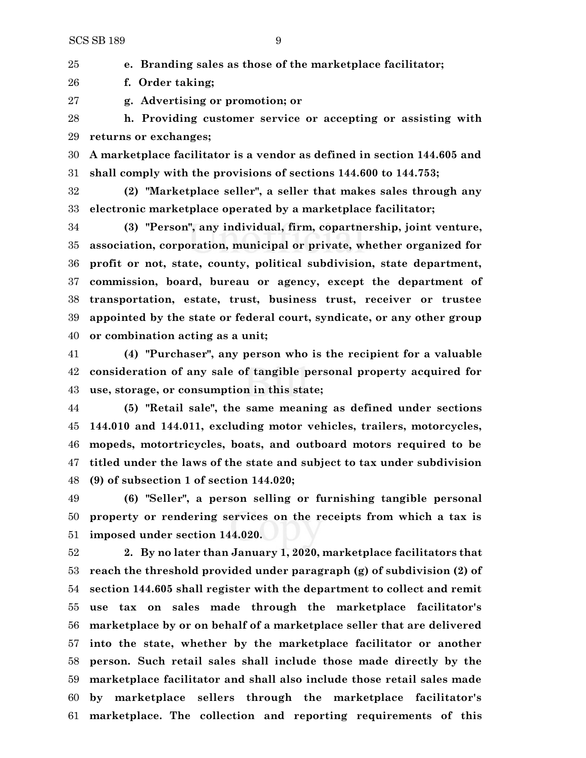**e. Branding sales as those of the marketplace facilitator;**

**f. Order taking;**

**g. Advertising or promotion; or**

 **h. Providing customer service or accepting or assisting with returns or exchanges;**

 **A marketplace facilitator is a vendor as defined in section 144.605 and shall comply with the provisions of sections 144.600 to 144.753;**

 **(2) "Marketplace seller", a seller that makes sales through any electronic marketplace operated by a marketplace facilitator;**

 **(3) "Person", any individual, firm, copartnership, joint venture, association, corporation, municipal or private, whether organized for profit or not, state, county, political subdivision, state department, commission, board, bureau or agency, except the department of transportation, estate, trust, business trust, receiver or trustee appointed by the state or federal court, syndicate, or any other group or combination acting as a unit;**

 **(4) "Purchaser", any person who is the recipient for a valuable consideration of any sale of tangible personal property acquired for use, storage, or consumption in this state;**

 **(5) "Retail sale", the same meaning as defined under sections 144.010 and 144.011, excluding motor vehicles, trailers, motorcycles, mopeds, motortricycles, boats, and outboard motors required to be titled under the laws of the state and subject to tax under subdivision (9) of subsection 1 of section 144.020;**

 **(6) "Seller", a person selling or furnishing tangible personal property or rendering services on the receipts from which a tax is imposed under section 144.020.**

 **2. By no later than January 1, 2020, marketplace facilitators that reach the threshold provided under paragraph (g) of subdivision (2) of section 144.605 shall register with the department to collect and remit use tax on sales made through the marketplace facilitator's marketplace by or on behalf of a marketplace seller that are delivered into the state, whether by the marketplace facilitator or another person. Such retail sales shall include those made directly by the marketplace facilitator and shall also include those retail sales made by marketplace sellers through the marketplace facilitator's marketplace. The collection and reporting requirements of this**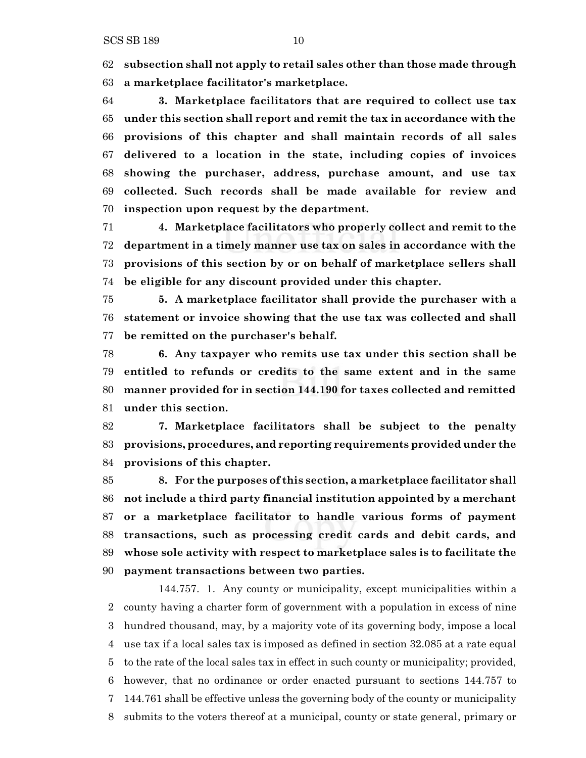**subsection shall not apply to retail sales other than those made through a marketplace facilitator's marketplace.**

 **3. Marketplace facilitators that are required to collect use tax under this section shall report and remit the tax in accordance with the provisions of this chapter and shall maintain records of all sales delivered to a location in the state, including copies of invoices showing the purchaser, address, purchase amount, and use tax collected. Such records shall be made available for review and inspection upon request by the department.**

 **4. Marketplace facilitators who properly collect and remit to the department in a timely manner use tax on sales in accordance with the provisions of this section by or on behalf of marketplace sellers shall be eligible for any discount provided under this chapter.**

 **5. A marketplace facilitator shall provide the purchaser with a statement or invoice showing that the use tax was collected and shall be remitted on the purchaser's behalf.**

 **6. Any taxpayer who remits use tax under this section shall be entitled to refunds or credits to the same extent and in the same manner provided for in section 144.190 for taxes collected and remitted under this section.**

 **7. Marketplace facilitators shall be subject to the penalty provisions, procedures, and reporting requirements provided under the provisions of this chapter.**

 **8. For the purposes of this section, a marketplace facilitator shall not include a third party financial institution appointed by a merchant or a marketplace facilitator to handle various forms of payment transactions, such as processing credit cards and debit cards, and whose sole activity with respect to marketplace sales is to facilitate the payment transactions between two parties.**

144.757. 1. Any county or municipality, except municipalities within a county having a charter form of government with a population in excess of nine hundred thousand, may, by a majority vote of its governing body, impose a local use tax if a local sales tax is imposed as defined in section 32.085 at a rate equal to the rate of the local sales tax in effect in such county or municipality; provided, however, that no ordinance or order enacted pursuant to sections 144.757 to 144.761 shall be effective unless the governing body of the county or municipality submits to the voters thereof at a municipal, county or state general, primary or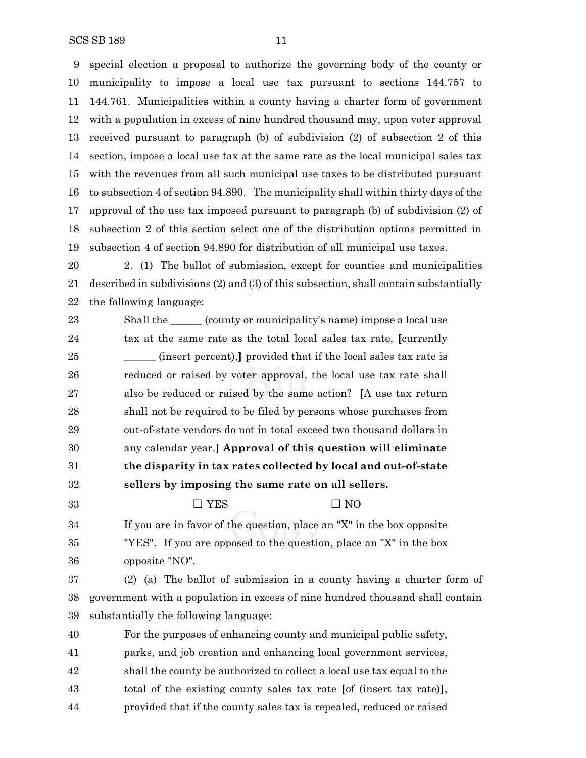special election a proposal to authorize the governing body of the county or municipality to impose a local use tax pursuant to sections 144.757 to 144.761. Municipalities within a county having a charter form of government with a population in excess of nine hundred thousand may, upon voter approval received pursuant to paragraph (b) of subdivision (2) of subsection 2 of this section, impose a local use tax at the same rate as the local municipal sales tax with the revenues from all such municipal use taxes to be distributed pursuant to subsection 4 of section 94.890. The municipality shall within thirty days of the approval of the use tax imposed pursuant to paragraph (b) of subdivision (2) of subsection 2 of this section select one of the distribution options permitted in subsection 4 of section 94.890 for distribution of all municipal use taxes.

 2. (1) The ballot of submission, except for counties and municipalities described in subdivisions (2) and (3) of this subsection, shall contain substantially the following language:

23 Shall the \_\_\_\_\_\_\_ (county or municipality's name) impose a local use tax at the same rate as the total local sales tax rate, **[**currently **\_\_\_\_\_** (insert percent), provided that if the local sales tax rate is reduced or raised by voter approval, the local use tax rate shall also be reduced or raised by the same action? **[**A use tax return shall not be required to be filed by persons whose purchases from out-of-state vendors do not in total exceed two thousand dollars in any calendar year.**] Approval of this question will eliminate the disparity in tax rates collected by local and out-of-state sellers by imposing the same rate on all sellers.**

33  $\Box$  YES  $\Box$  NO

- If you are in favor of the question, place an "X" in the box opposite "YES". If you are opposed to the question, place an "X" in the box opposite "NO".
- (2) (a) The ballot of submission in a county having a charter form of government with a population in excess of nine hundred thousand shall contain substantially the following language:
- For the purposes of enhancing county and municipal public safety, parks, and job creation and enhancing local government services, shall the county be authorized to collect a local use tax equal to the total of the existing county sales tax rate **[**of (insert tax rate)**]**, provided that if the county sales tax is repealed, reduced or raised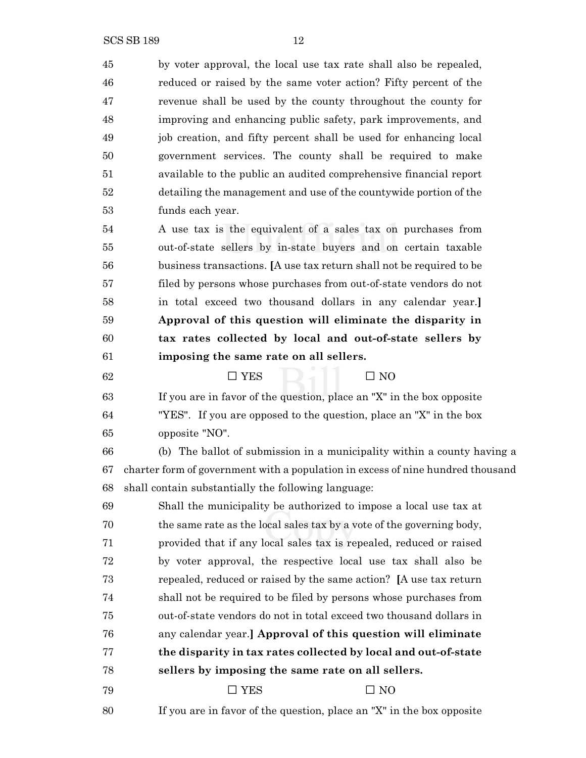by voter approval, the local use tax rate shall also be repealed, reduced or raised by the same voter action? Fifty percent of the revenue shall be used by the county throughout the county for improving and enhancing public safety, park improvements, and job creation, and fifty percent shall be used for enhancing local government services. The county shall be required to make available to the public an audited comprehensive financial report detailing the management and use of the countywide portion of the funds each year. A use tax is the equivalent of a sales tax on purchases from

 out-of-state sellers by in-state buyers and on certain taxable business transactions. **[**A use tax return shall not be required to be filed by persons whose purchases from out-of-state vendors do not in total exceed two thousand dollars in any calendar year.**] Approval of this question will eliminate the disparity in tax rates collected by local and out-of-state sellers by imposing the same rate on all sellers.**

 $\Box$  YES  $\Box$  NO If you are in favor of the question, place an "X" in the box opposite "YES". If you are opposed to the question, place an "X" in the box opposite "NO".

 (b) The ballot of submission in a municipality within a county having a charter form of government with a population in excess of nine hundred thousand shall contain substantially the following language:

 Shall the municipality be authorized to impose a local use tax at the same rate as the local sales tax by a vote of the governing body, provided that if any local sales tax is repealed, reduced or raised by voter approval, the respective local use tax shall also be repealed, reduced or raised by the same action? **[**A use tax return shall not be required to be filed by persons whose purchases from out-of-state vendors do not in total exceed two thousand dollars in any calendar year.**] Approval of this question will eliminate the disparity in tax rates collected by local and out-of-state sellers by imposing the same rate on all sellers.**

79  $\Box$  YES  $\Box$  NO

If you are in favor of the question, place an "X" in the box opposite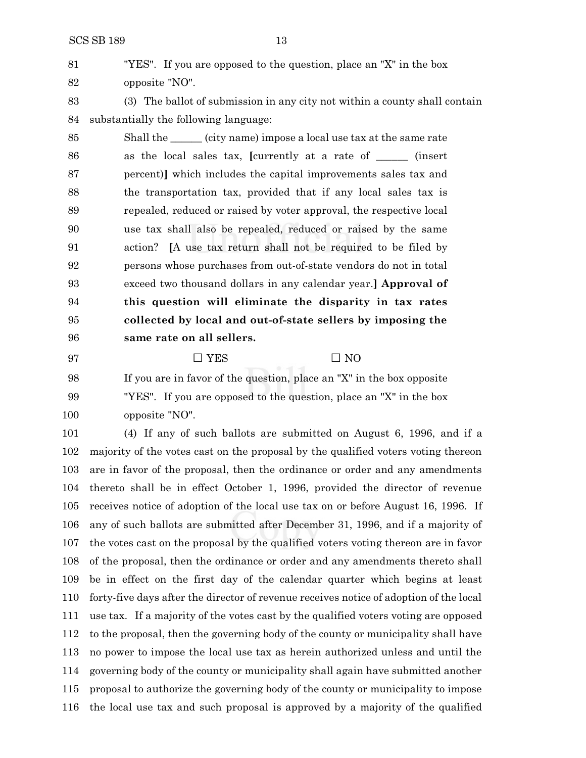"YES". If you are opposed to the question, place an "X" in the box opposite "NO".

 (3) The ballot of submission in any city not within a county shall contain substantially the following language:

 Shall the \_\_\_\_\_\_ (city name) impose a local use tax at the same rate as the local sales tax, **[**currently at a rate of \_\_\_\_\_\_ (insert percent)**]** which includes the capital improvements sales tax and the transportation tax, provided that if any local sales tax is repealed, reduced or raised by voter approval, the respective local use tax shall also be repealed, reduced or raised by the same action? **[**A use tax return shall not be required to be filed by persons whose purchases from out-of-state vendors do not in total exceed two thousand dollars in any calendar year.**] Approval of this question will eliminate the disparity in tax rates collected by local and out-of-state sellers by imposing the same rate on all sellers.**

97  $\Box$  YES  $\Box$  NO

 If you are in favor of the question, place an "X" in the box opposite "YES". If you are opposed to the question, place an "X" in the box opposite "NO".

 (4) If any of such ballots are submitted on August 6, 1996, and if a majority of the votes cast on the proposal by the qualified voters voting thereon are in favor of the proposal, then the ordinance or order and any amendments thereto shall be in effect October 1, 1996, provided the director of revenue receives notice of adoption of the local use tax on or before August 16, 1996. If any of such ballots are submitted after December 31, 1996, and if a majority of the votes cast on the proposal by the qualified voters voting thereon are in favor of the proposal, then the ordinance or order and any amendments thereto shall be in effect on the first day of the calendar quarter which begins at least forty-five days after the director of revenue receives notice of adoption of the local use tax. If a majority of the votes cast by the qualified voters voting are opposed to the proposal, then the governing body of the county or municipality shall have no power to impose the local use tax as herein authorized unless and until the governing body of the county or municipality shall again have submitted another proposal to authorize the governing body of the county or municipality to impose the local use tax and such proposal is approved by a majority of the qualified